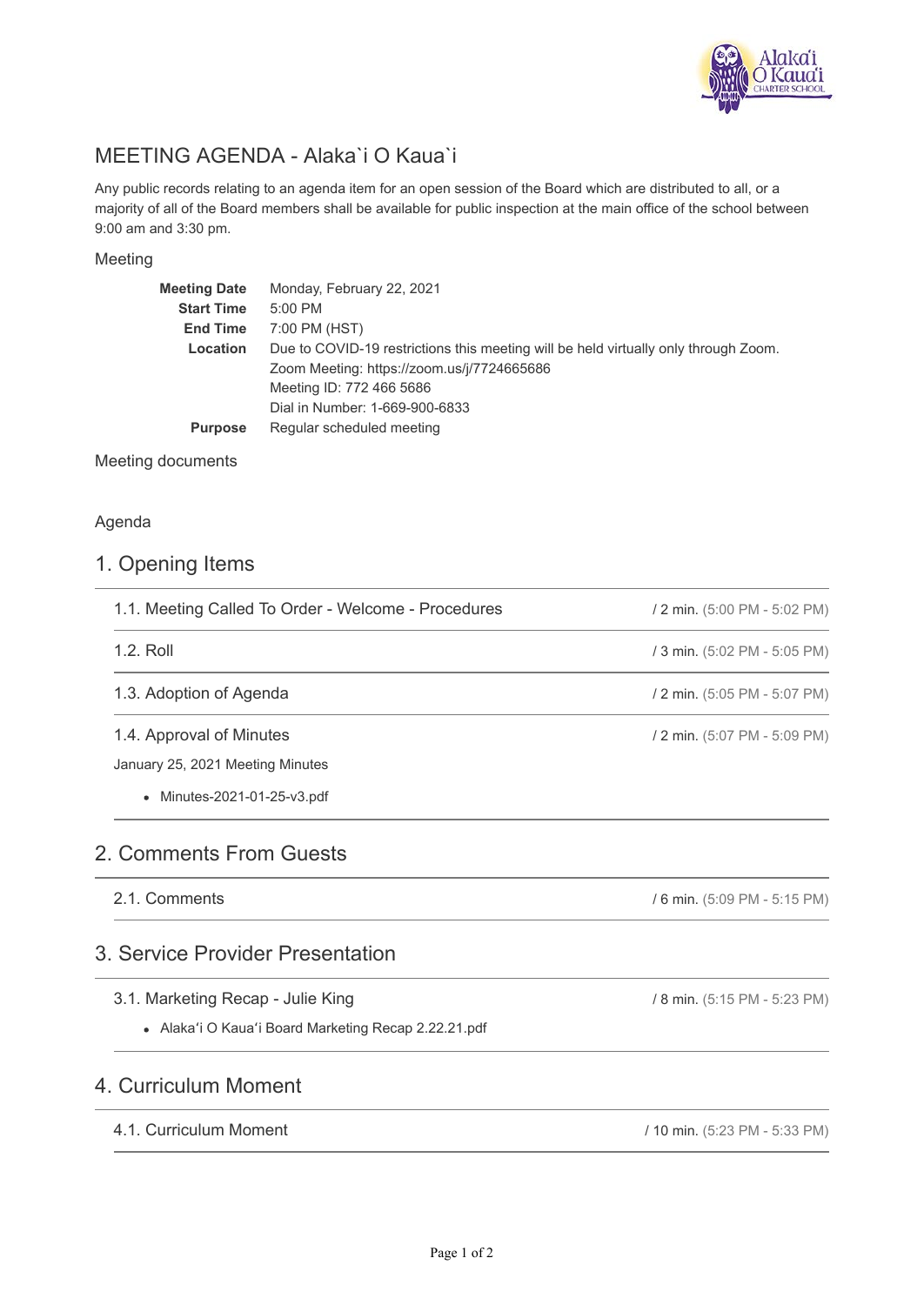

# MEETING AGENDA - Alaka`i O Kaua`i

Any public records relating to an agenda item for an open session of the Board which are distributed to all, or a majority of all of the Board members shall be available for public inspection at the main office of the school between 9:00 am and 3:30 pm.

#### Meeting

| <b>Meeting Date</b> | Monday, February 22, 2021                                                           |
|---------------------|-------------------------------------------------------------------------------------|
| <b>Start Time</b>   | 5:00 PM                                                                             |
| <b>End Time</b>     | 7:00 PM (HST)                                                                       |
| Location            | Due to COVID-19 restrictions this meeting will be held virtually only through Zoom. |
|                     | Zoom Meeting: https://zoom.us/j/7724665686                                          |
|                     | Meeting ID: 772 466 5686                                                            |
|                     | Dial in Number: 1-669-900-6833                                                      |
| <b>Purpose</b>      | Regular scheduled meeting                                                           |
|                     |                                                                                     |

Meeting documents

### Agenda

### 1. Opening Items

| 1.1. Meeting Called To Order - Welcome - Procedures | / 2 min. (5:00 PM - 5:02 PM) |  |
|-----------------------------------------------------|------------------------------|--|
| 1.2. Roll                                           | / 3 min. (5:02 PM - 5:05 PM) |  |
| 1.3. Adoption of Agenda                             | / 2 min. (5:05 PM - 5:07 PM) |  |
| 1.4. Approval of Minutes                            | / 2 min. (5:07 PM - 5:09 PM) |  |
| January 25, 2021 Meeting Minutes                    |                              |  |
| • Minutes-2021-01-25-v3.pdf                         |                              |  |

## 2. Comments From Guests

2.1. Comments

## 3. Service Provider Presentation

- 3.1. Marketing Recap Julie King
	- Alakaʻi O Kauaʻi Board Marketing Recap 2.22.21.pdf

## 4. Curriculum Moment

### 4.1. Curriculum Moment

/ 10 min. (5:23 PM - 5:33 PM)

/ 6 min. (5:09 PM - 5:15 PM)

/ 8 min. (5:15 PM - 5:23 PM)